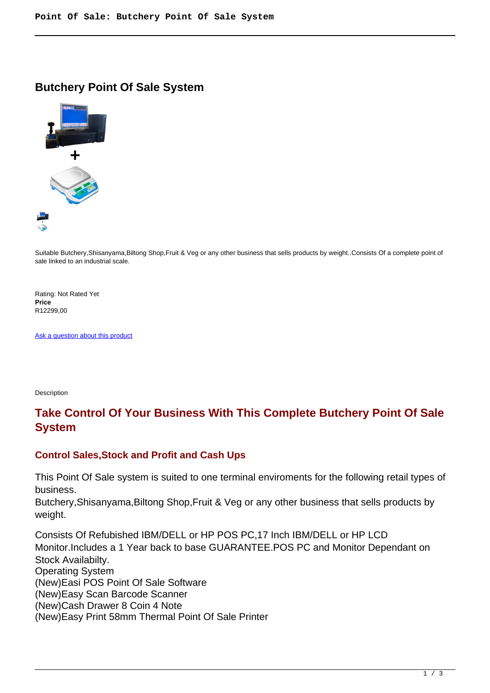### **Butchery Point Of Sale System**



Suitable Butchery,Shisanyama,Biltong Shop,Fruit & Veg or any other business that sells products by weight..Consists Of a complete point of sale linked to an industrial scale.

Rating: Not Rated Yet **Price**  R12299,00

[Ask a question about this product](https://retailjhb.co.za/index.php?option=com_virtuemart&view=productdetails&task=askquestion&virtuemart_product_id=121&virtuemart_category_id=13&tmpl=component)

Description

# **Take Control Of Your Business With This Complete Butchery Point Of Sale System**

#### **Control Sales,Stock and Profit and Cash Ups**

This Point Of Sale system is suited to one terminal enviroments for the following retail types of business.

Butchery,Shisanyama,Biltong Shop,Fruit & Veg or any other business that sells products by weight.

Consists Of Refubished IBM/DELL or HP POS PC,17 Inch IBM/DELL or HP LCD Monitor.Includes a 1 Year back to base GUARANTEE.POS PC and Monitor Dependant on Stock Availabilty. Operating System (New)Easi POS Point Of Sale Software (New)Easy Scan Barcode Scanner (New)Cash Drawer 8 Coin 4 Note (New)Easy Print 58mm Thermal Point Of Sale Printer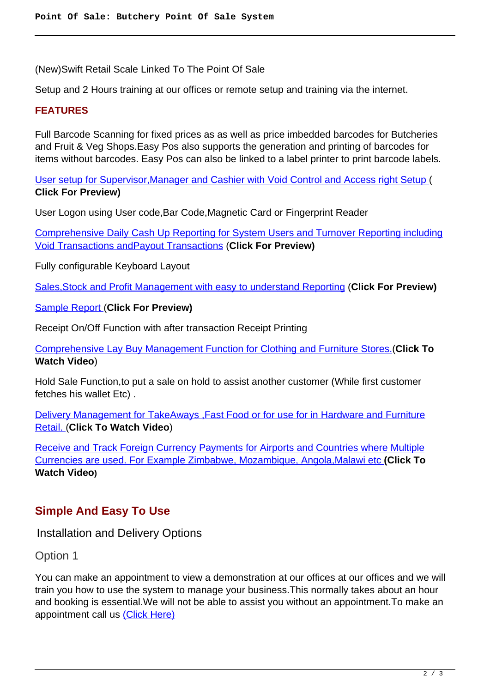(New)Swift Retail Scale Linked To The Point Of Sale

Setup and 2 Hours training at our offices or remote setup and training via the internet.

#### **FEATURES**

Full Barcode Scanning for fixed prices as as well as price imbedded barcodes for Butcheries and Fruit & Veg Shops.Easy Pos also supports the generation and printing of barcodes for items without barcodes. Easy Pos can also be linked to a label printer to print barcode labels.

[User setup for Supervisor,Manager and Cashier with Void Control and Access right Setup](images/retail/User_And_Security.jpg) ( **Click For Preview)**

User Logon using User code,Bar Code,Magnetic Card or Fingerprint Reader

[Comprehensive Daily Cash Up Reporting for System Users and Turnover Reporting including](images/retail/CashUpReport.jpg) [Void Transactions andPayout Transactions](images/retail/CashUpReport.jpg) (**Click For Preview)**

Fully configurable Keyboard Layout

[Sales,Stock and Profit Management with easy to understand Reporting](images/retail/Item_Sales_Report.jpg) (**Click For Preview)**

[Sample Report \(](images/retail/Item_Sales_Report.jpg)**Click For Preview)**

Receipt On/Off Function with after transaction Receipt Printing

[Comprehensive Lay Buy Management Function for Clothing and Furniture Stores.\(](index.php?option=com_content&view=article&id=22)**Click To Watch Video**)

Hold Sale Function,to put a sale on hold to assist another customer (While first customer fetches his wallet Etc) .

[Delivery Management for TakeAways ,Fast Food or for use for in Hardware and Furniture](index.php?option=com_content&view=article&id=21) [Retail. \(](index.php?option=com_content&view=article&id=21)**Click To Watch Video**)

[Receive and Track Foreign Currency Payments for Airports and Countries where Multiple](index.php?option=com_content&view=article&id=23) [Currencies are used. For Example Zimbabwe, Mozambique, Angola,Malawi etc](index.php?option=com_content&view=article&id=23) **(Click To Watch Video)**

# **Simple And Easy To Use**

Installation and Delivery Options

Option 1

You can make an appointment to view a demonstration at our offices at our offices and we will train you how to use the system to manage your business.This normally takes about an hour and booking is essential.We will not be able to assist you without an appointment.To make an appointment call us [\(Click Here\)](address)